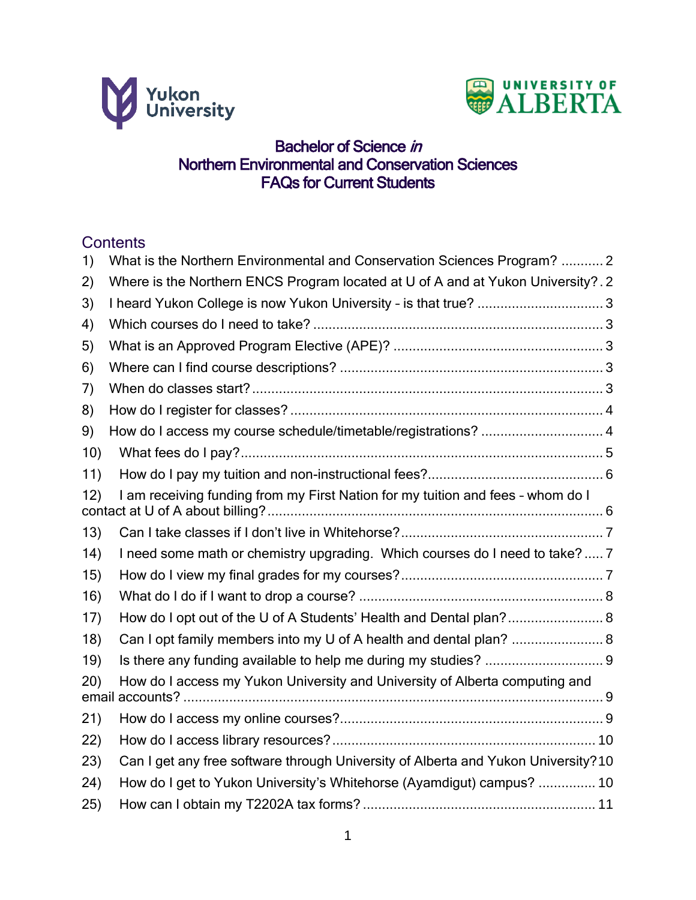



# **Bachelor of Science in** Northern Environmental and Conservation Sciences FAQs for Current Students

# **Contents**

| 1)           | What is the Northern Environmental and Conservation Sciences Program?  2          |  |
|--------------|-----------------------------------------------------------------------------------|--|
| $\mathbf{2}$ | Where is the Northern ENCS Program located at U of A and at Yukon University?. 2  |  |
| 3)           | I heard Yukon College is now Yukon University - is that true? 3                   |  |
| 4)           |                                                                                   |  |
| 5)           |                                                                                   |  |
| 6)           |                                                                                   |  |
| 7)           |                                                                                   |  |
| 8)           |                                                                                   |  |
| 9)           | How do I access my course schedule/timetable/registrations?  4                    |  |
| 10)          |                                                                                   |  |
| 11)          |                                                                                   |  |
| 12)          | I am receiving funding from my First Nation for my tuition and fees - whom do I   |  |
| 13)          |                                                                                   |  |
| 14)          | I need some math or chemistry upgrading. Which courses do I need to take? 7       |  |
| 15)          |                                                                                   |  |
| 16)          |                                                                                   |  |
| 17)          | How do I opt out of the U of A Students' Health and Dental plan? 8                |  |
| 18)          | Can I opt family members into my U of A health and dental plan?  8                |  |
| 19)          |                                                                                   |  |
| (20)         | How do I access my Yukon University and University of Alberta computing and       |  |
| 21)          |                                                                                   |  |
| 22)          |                                                                                   |  |
| 23)          | Can I get any free software through University of Alberta and Yukon University?10 |  |
| (24)         | How do I get to Yukon University's Whitehorse (Ayamdigut) campus?  10             |  |
| 25)          |                                                                                   |  |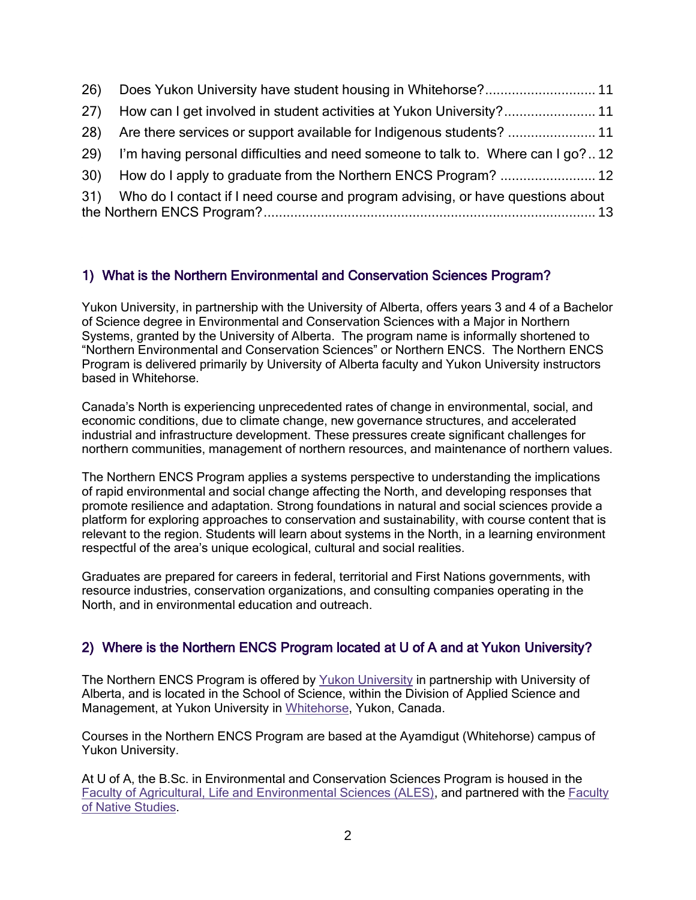| 27 <sup>)</sup> |                                                                                     |  |
|-----------------|-------------------------------------------------------------------------------------|--|
| 28)             |                                                                                     |  |
|                 | 29) I'm having personal difficulties and need someone to talk to. Where can I go?12 |  |
|                 |                                                                                     |  |
|                 | 31) Who do I contact if I need course and program advising, or have questions about |  |

## <span id="page-1-0"></span>1) What is the Northern Environmental and Conservation Sciences Program?

Yukon University, in partnership with the University of Alberta, offers years 3 and 4 of a Bachelor of Science degree in Environmental and Conservation Sciences with a Major in Northern Systems, granted by the University of Alberta. The program name is informally shortened to "Northern Environmental and Conservation Sciences" or Northern ENCS. The Northern ENCS Program is delivered primarily by University of Alberta faculty and Yukon University instructors based in Whitehorse.

Canada's North is experiencing unprecedented rates of change in environmental, social, and economic conditions, due to climate change, new governance structures, and accelerated industrial and infrastructure development. These pressures create significant challenges for northern communities, management of northern resources, and maintenance of northern values.

The Northern ENCS Program applies a systems perspective to understanding the implications of rapid environmental and social change affecting the North, and developing responses that promote resilience and adaptation. Strong foundations in natural and social sciences provide a platform for exploring approaches to conservation and sustainability, with course content that is relevant to the region. Students will learn about systems in the North, in a learning environment respectful of the area's unique ecological, cultural and social realities.

Graduates are prepared for careers in federal, territorial and First Nations governments, with resource industries, conservation organizations, and consulting companies operating in the North, and in environmental education and outreach.

# <span id="page-1-1"></span>2) Where is the Northern ENCS Program located at U of A and at Yukon University?

The Northern ENCS Program is offered by [Yukon University](http://www.yukonu.ca/) in partnership with University of Alberta, and is located in the School of Science, within the Division of Applied Science and Management, at Yukon University in [Whitehorse,](http://www.whitehorse.ca/) Yukon, Canada.

Courses in the Northern ENCS Program are based at the Ayamdigut (Whitehorse) campus of Yukon University.

At U of A, the B.Sc. in Environmental and Conservation Sciences Program is housed in the [Faculty of Agricultural, Life and Environmental Sciences \(ALES\),](http://www.ales.ualberta.ca/) and partnered with the [Faculty](http://nativestudies.ualberta.ca/)  [of Native Studies.](http://nativestudies.ualberta.ca/)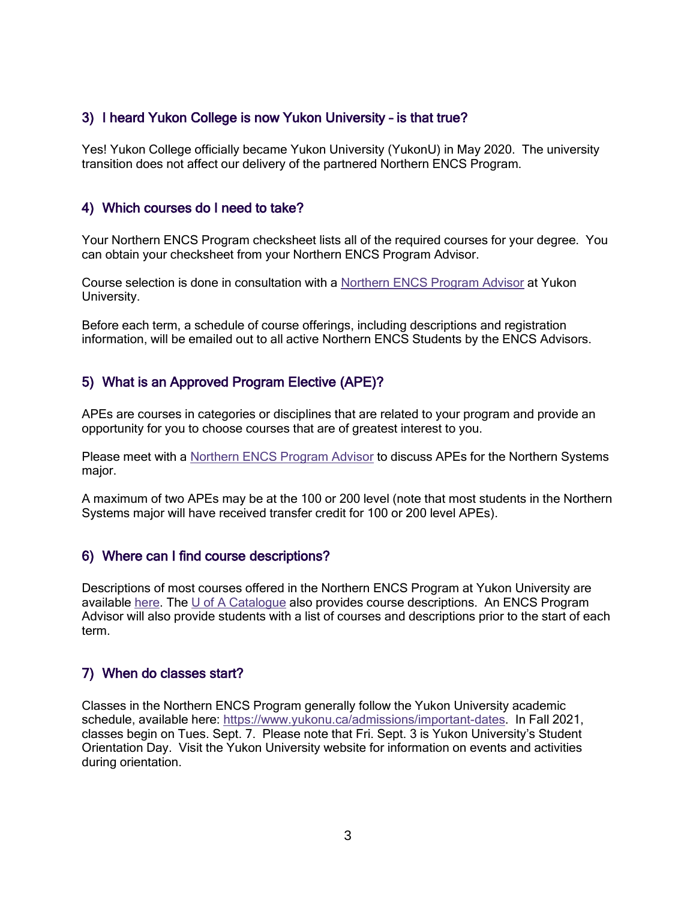## <span id="page-2-0"></span>3) I heard Yukon College is now Yukon University – is that true?

Yes! Yukon College officially became Yukon University (YukonU) in May 2020. The university transition does not affect our delivery of the partnered Northern ENCS Program.

### <span id="page-2-1"></span>4) Which courses do I need to take?

Your Northern ENCS Program checksheet lists all of the required courses for your degree. You can obtain your checksheet from your Northern ENCS Program Advisor.

Course selection is done in consultation with a [Northern ENCS Program Advisor](#page-12-0) at Yukon University.

Before each term, a schedule of course offerings, including descriptions and registration information, will be emailed out to all active Northern ENCS Students by the ENCS Advisors.

## <span id="page-2-2"></span>5) What is an Approved Program Elective (APE)?

APEs are courses in categories or disciplines that are related to your program and provide an opportunity for you to choose courses that are of greatest interest to you.

Please meet with a [Northern ENCS Program Advisor](#page-12-0) to discuss APEs for the Northern Systems major.

A maximum of two APEs may be at the 100 or 200 level (note that most students in the Northern Systems major will have received transfer credit for 100 or 200 level APEs).

### <span id="page-2-3"></span>6) Where can I find course descriptions?

Descriptions of most courses offered in the Northern ENCS Program at Yukon University are available [here.](http://www.yukonu.ca/encs) The [U of A Catalogue](https://catalogue.ualberta.ca/Course/Faculty?facultyCode=AH) also provides course descriptions. An ENCS Program Advisor will also provide students with a list of courses and descriptions prior to the start of each term.

### <span id="page-2-4"></span>7) When do classes start?

Classes in the Northern ENCS Program generally follow the Yukon University academic schedule, available here: [https://www.yukonu.ca/admissions/important-dates.](https://www.yukonu.ca/admissions/important-dates) In Fall 2021, classes begin on Tues. Sept. 7. Please note that Fri. Sept. 3 is Yukon University's Student Orientation Day. Visit the Yukon University website for information on events and activities during orientation.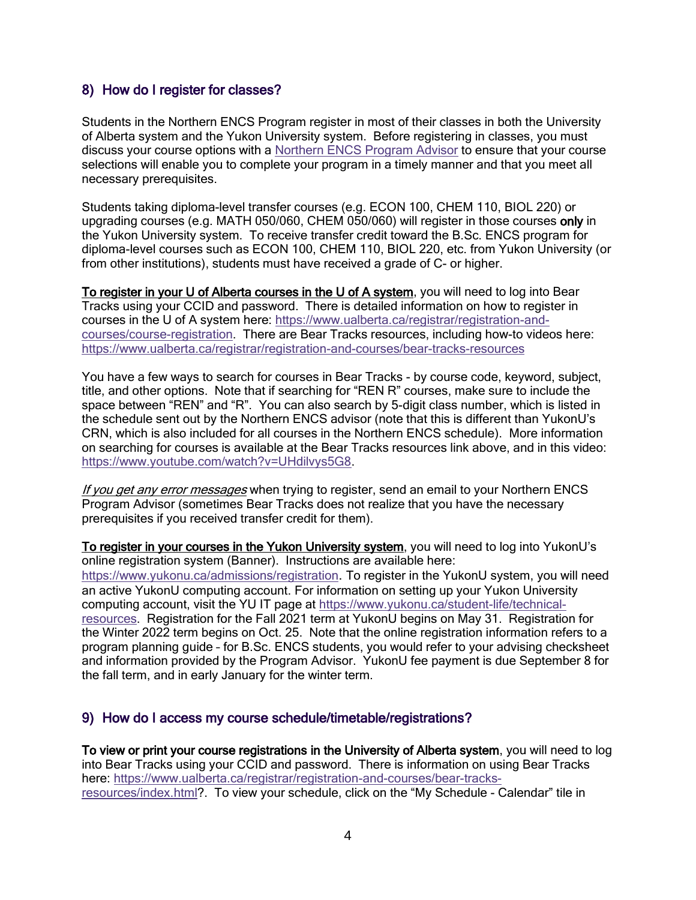### <span id="page-3-0"></span>8) How do I register for classes?

Students in the Northern ENCS Program register in most of their classes in both the University of Alberta system and the Yukon University system. Before registering in classes, you must discuss your course options with a [Northern ENCS Program Advisor](#page-12-0) to ensure that your course selections will enable you to complete your program in a timely manner and that you meet all necessary prerequisites.

Students taking diploma-level transfer courses (e.g. ECON 100, CHEM 110, BIOL 220) or upgrading courses (e.g. MATH 050/060, CHEM 050/060) will register in those courses only in the Yukon University system. To receive transfer credit toward the B.Sc. ENCS program for diploma-level courses such as ECON 100, CHEM 110, BIOL 220, etc. from Yukon University (or from other institutions), students must have received a grade of C- or higher.

To register in your U of Alberta courses in the U of A system, you will need to log into Bear Tracks using your CCID and password. There is detailed information on how to register in courses in the U of A system here: [https://www.ualberta.ca/registrar/registration-and](https://www.ualberta.ca/registrar/registration-and-courses/course-registration)[courses/course-registration.](https://www.ualberta.ca/registrar/registration-and-courses/course-registration) There are Bear Tracks resources, including how-to videos here: <https://www.ualberta.ca/registrar/registration-and-courses/bear-tracks-resources>

You have a few ways to search for courses in Bear Tracks - by course code, keyword, subject, title, and other options. Note that if searching for "REN R" courses, make sure to include the space between "REN" and "R". You can also search by 5-digit class number, which is listed in the schedule sent out by the Northern ENCS advisor (note that this is different than YukonU's CRN, which is also included for all courses in the Northern ENCS schedule). More information on searching for courses is available at the Bear Tracks resources link above, and in this video: [https://www.youtube.com/watch?v=UHdilvys5G8.](https://www.youtube.com/watch?v=UHdilvys5G8)

If you get any error messages when trying to register, send an email to your Northern ENCS Program Advisor (sometimes Bear Tracks does not realize that you have the necessary prerequisites if you received transfer credit for them).

To register in your courses in the Yukon University system, you will need to log into YukonU's online registration system (Banner). Instructions are available here: <https://www.yukonu.ca/admissions/registration>. To register in the YukonU system, you will need an active YukonU computing account. For information on setting up your Yukon University computing account, visit the YU IT page at [https://www.yukonu.ca/student-life/technical](https://www.yukonu.ca/student-life/technical-resources)[resources.](https://www.yukonu.ca/student-life/technical-resources) Registration for the Fall 2021 term at YukonU begins on May 31. Registration for the Winter 2022 term begins on Oct. 25. Note that the online registration information refers to a program planning guide – for B.Sc. ENCS students, you would refer to your advising checksheet and information provided by the Program Advisor. YukonU fee payment is due September 8 for the fall term, and in early January for the winter term.

### <span id="page-3-1"></span>9) How do I access my course schedule/timetable/registrations?

To view or print your course registrations in the University of Alberta system, you will need to log into Bear Tracks using your CCID and password. There is information on using Bear Tracks here: [https://www.ualberta.ca/registrar/registration-and-courses/bear-tracks](https://www.ualberta.ca/registrar/registration-and-courses/bear-tracks-resources/index.html)[resources/index.html?](https://www.ualberta.ca/registrar/registration-and-courses/bear-tracks-resources/index.html). To view your schedule, click on the "My Schedule - Calendar" tile in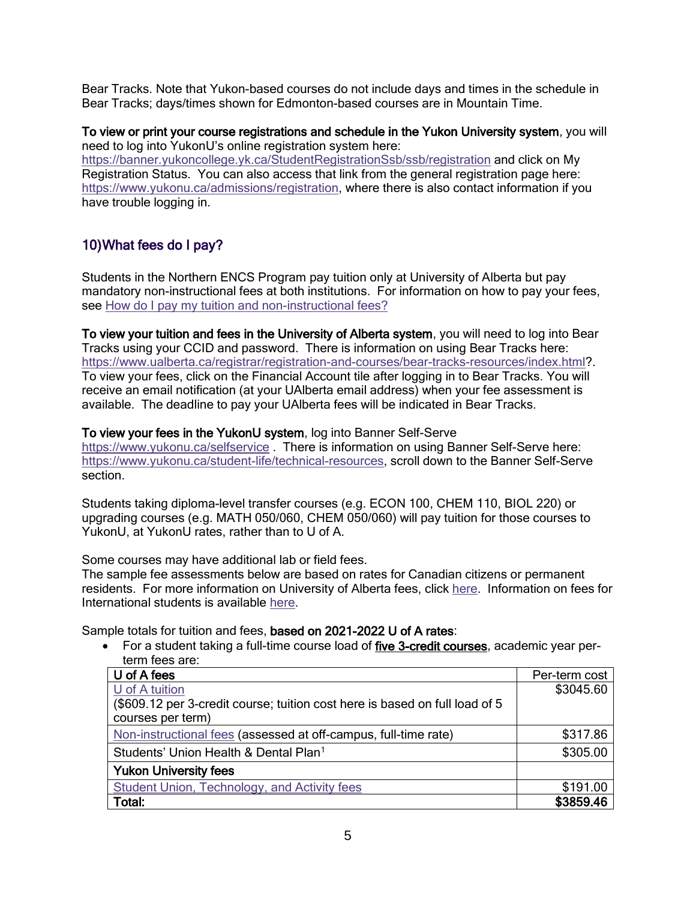Bear Tracks. Note that Yukon-based courses do not include days and times in the schedule in Bear Tracks; days/times shown for Edmonton-based courses are in Mountain Time.

To view or print your course registrations and schedule in the Yukon University system, you will need to log into YukonU's online registration system here: <https://banner.yukoncollege.yk.ca/StudentRegistrationSsb/ssb/registration> and click on My Registration Status. You can also access that link from the general registration page here: [https://www.yukonu.ca/admissions/registration,](https://www.yukonu.ca/admissions/registration) where there is also contact information if you have trouble logging in.

# <span id="page-4-0"></span>10)What fees do I pay?

Students in the Northern ENCS Program pay tuition only at University of Alberta but pay mandatory non-instructional fees at both institutions. For information on how to pay your fees, see [How do I pay my tuition and non-instructional fees?](#page-5-0)

To view your tuition and fees in the University of Alberta system, you will need to log into Bear Tracks using your CCID and password. There is information on using Bear Tracks here: [https://www.ualberta.ca/registrar/registration-and-courses/bear-tracks-resources/index.html?](https://www.ualberta.ca/registrar/registration-and-courses/bear-tracks-resources/index.html). To view your fees, click on the Financial Account tile after logging in to Bear Tracks. You will receive an email notification (at your UAlberta email address) when your fee assessment is available. The deadline to pay your UAlberta fees will be indicated in Bear Tracks.

#### To view your fees in the YukonU system, log into Banner Self-Serve

<https://www.yukonu.ca/selfservice> . There is information on using Banner Self-Serve here: [https://www.yukonu.ca/student-life/technical-resources,](https://www.yukonu.ca/student-life/technical-resources) scroll down to the Banner Self-Serve section.

Students taking diploma-level transfer courses (e.g. ECON 100, CHEM 110, BIOL 220) or upgrading courses (e.g. MATH 050/060, CHEM 050/060) will pay tuition for those courses to YukonU, at YukonU rates, rather than to U of A.

Some courses may have additional lab or field fees.

The sample fee assessments below are based on rates for Canadian citizens or permanent residents. For more information on University of Alberta fees, click [here.](https://www.ualberta.ca/registrar/costs-tuition-fees/index.html) Information on fees for International students is available [here.](https://www.ualberta.ca/registrar/costs-tuition-fees/undergraduate-tuition/index.html)

Sample totals for tuition and fees, based on 2021-2022 U of A rates:

• For a student taking a full-time course load of five 3-credit courses, academic year perterm fees are:

| U of A fees                                                                 | Per-term cost |
|-----------------------------------------------------------------------------|---------------|
| U of A tuition                                                              | \$3045.60     |
| (\$609.12 per 3-credit course; tuition cost here is based on full load of 5 |               |
| courses per term)                                                           |               |
| Non-instructional fees (assessed at off-campus, full-time rate)             | \$317.86      |
| Students' Union Health & Dental Plan <sup>1</sup>                           | \$305.00      |
| <b>Yukon University fees</b>                                                |               |
| Student Union, Technology, and Activity fees                                | \$191.00      |
| Total:                                                                      | \$3859.46     |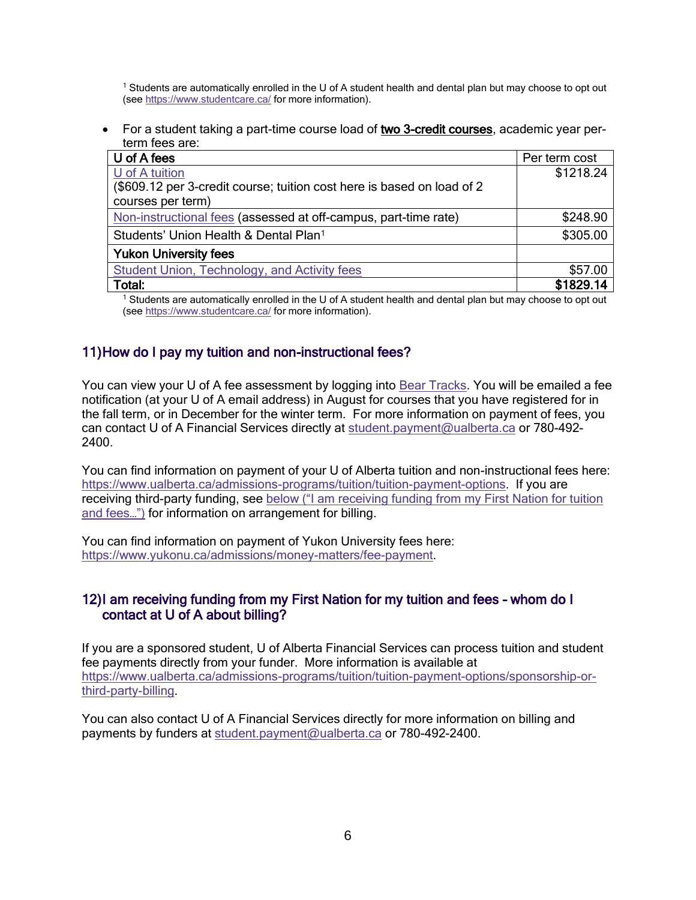<sup>1</sup> Students are automatically enrolled in the U of A student health and dental plan but may choose to opt out (see<https://www.studentcare.ca/> for more information).

• For a student taking a part-time course load of two 3-credit courses, academic year perterm fees are:

| U of A fees                                                            | Per term cost |
|------------------------------------------------------------------------|---------------|
| U of A tuition                                                         | \$1218.24     |
| (\$609.12 per 3-credit course; tuition cost here is based on load of 2 |               |
| courses per term)                                                      |               |
| Non-instructional fees (assessed at off-campus, part-time rate)        | \$248.90      |
| Students' Union Health & Dental Plan <sup>1</sup>                      | \$305.00      |
| <b>Yukon University fees</b>                                           |               |
| Student Union, Technology, and Activity fees                           | \$57.00       |
| Total:                                                                 | \$1829.14     |

<sup>1</sup> Students are automatically enrolled in the U of A student health and dental plan but may choose to opt out (see<https://www.studentcare.ca/> for more information).

### <span id="page-5-0"></span>11)How do I pay my tuition and non-instructional fees?

You can view your U of A fee assessment by logging into [Bear Tracks.](https://www.beartracks.ualberta.ca/) You will be emailed a fee notification (at your U of A email address) in August for courses that you have registered for in the fall term, or in December for the winter term. For more information on payment of fees, you can contact U of A Financial Services directly at [student.payment@ualberta.ca](mailto:student.payment@ualberta.ca) or 780-492- 2400.

You can find information on payment of your U of Alberta tuition and non-instructional fees here: [https://www.ualberta.ca/admissions-programs/tuition/tuition-payment-options.](https://www.ualberta.ca/admissions-programs/tuition/tuition-payment-options) If you are receiving third-party funding, see [below \("I am receiving funding from my](#page-5-1) First Nation for tuition [and fees…"\)](#page-5-1) for information on arrangement for billing.

You can find information on payment of Yukon University fees here: [https://www.yukonu.ca/admissions/money-matters/fee-payment.](https://www.yukonu.ca/admissions/money-matters/fee-payment)

### <span id="page-5-1"></span>12)I am receiving funding from my First Nation for my tuition and fees – whom do I contact at U of A about billing?

If you are a sponsored student, U of Alberta Financial Services can process tuition and student fee payments directly from your funder. More information is available at [https://www.ualberta.ca/admissions-programs/tuition/tuition-payment-options/sponsorship-or](https://www.ualberta.ca/admissions-programs/tuition/tuition-payment-options/sponsorship-or-third-party-billing)[third-party-billing.](https://www.ualberta.ca/admissions-programs/tuition/tuition-payment-options/sponsorship-or-third-party-billing)

You can also contact U of A Financial Services directly for more information on billing and payments by funders at [student.payment@ualberta.ca](mailto:student.payment@ualberta.ca) or 780-492-2400.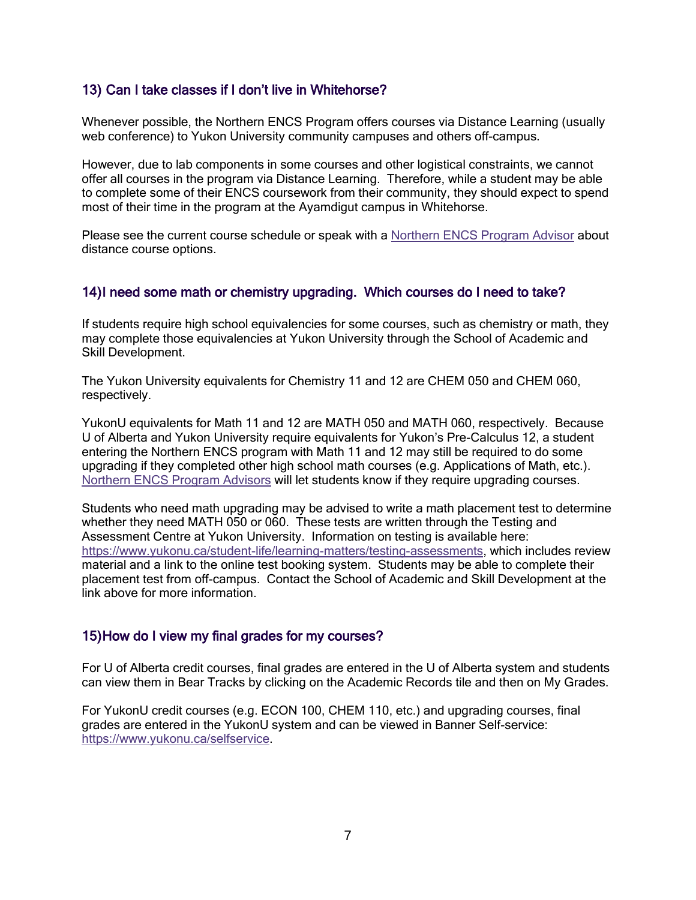## <span id="page-6-0"></span>13) Can I take classes if I don't live in Whitehorse?

Whenever possible, the Northern ENCS Program offers courses via Distance Learning (usually web conference) to Yukon University community campuses and others off-campus.

However, due to lab components in some courses and other logistical constraints, we cannot offer all courses in the program via Distance Learning. Therefore, while a student may be able to complete some of their ENCS coursework from their community, they should expect to spend most of their time in the program at the Ayamdigut campus in Whitehorse.

Please see the current course schedule or speak with a [Northern ENCS Program Advisor](#page-12-0) about distance course options.

#### <span id="page-6-1"></span>14)I need some math or chemistry upgrading. Which courses do I need to take?

If students require high school equivalencies for some courses, such as chemistry or math, they may complete those equivalencies at Yukon University through the School of Academic and Skill Development.

The Yukon University equivalents for Chemistry 11 and 12 are CHEM 050 and CHEM 060, respectively.

YukonU equivalents for Math 11 and 12 are MATH 050 and MATH 060, respectively. Because U of Alberta and Yukon University require equivalents for Yukon's Pre-Calculus 12, a student entering the Northern ENCS program with Math 11 and 12 may still be required to do some upgrading if they completed other high school math courses (e.g. Applications of Math, etc.). [Northern ENCS Program Advisors](#page-12-0) will let students know if they require upgrading courses.

Students who need math upgrading may be advised to write a math placement test to determine whether they need MATH 050 or 060. These tests are written through the Testing and Assessment Centre at Yukon University. Information on testing is available here: [https://www.yukonu.ca/student-life/learning-matters/testing-assessments,](https://www.yukonu.ca/student-life/learning-matters/testing-assessments) which includes review material and a link to the online test booking system. Students may be able to complete their placement test from off-campus. Contact the School of Academic and Skill Development at the link above for more information.

#### <span id="page-6-2"></span>15)How do I view my final grades for my courses?

For U of Alberta credit courses, final grades are entered in the U of Alberta system and students can view them in Bear Tracks by clicking on the Academic Records tile and then on My Grades.

For YukonU credit courses (e.g. ECON 100, CHEM 110, etc.) and upgrading courses, final grades are entered in the YukonU system and can be viewed in Banner Self-service: [https://www.yukonu.ca/selfservice.](https://www.yukonu.ca/selfservice)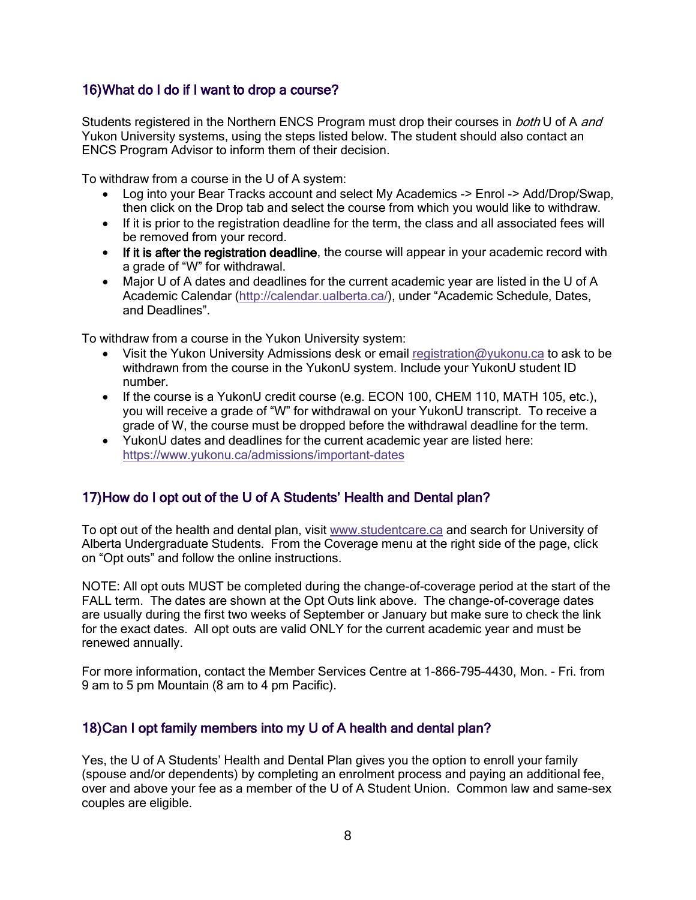# <span id="page-7-0"></span>16)What do I do if I want to drop a course?

Students registered in the Northern ENCS Program must drop their courses in *both* U of A and Yukon University systems, using the steps listed below. The student should also contact an ENCS Program Advisor to inform them of their decision.

To withdraw from a course in the U of A system:

- Log into your Bear Tracks account and select My Academics -> Enrol -> Add/Drop/Swap, then click on the Drop tab and select the course from which you would like to withdraw.
- If it is prior to the registration deadline for the term, the class and all associated fees will be removed from your record.
- If it is after the registration deadline, the course will appear in your academic record with a grade of "W" for withdrawal.
- Major U of A dates and deadlines for the current academic year are listed in the U of A Academic Calendar [\(http://calendar.ualberta.ca/](http://calendar.ualberta.ca/)), under "Academic Schedule, Dates, and Deadlines".

To withdraw from a course in the Yukon University system:

- Visit the Yukon University Admissions desk or email registration  $@$ yukonu.ca to ask to be withdrawn from the course in the YukonU system. Include your YukonU student ID number.
- If the course is a YukonU credit course (e.g. ECON 100, CHEM 110, MATH 105, etc.), you will receive a grade of "W" for withdrawal on your YukonU transcript. To receive a grade of W, the course must be dropped before the withdrawal deadline for the term.
- YukonU dates and deadlines for the current academic year are listed here: <https://www.yukonu.ca/admissions/important-dates>

# <span id="page-7-1"></span>17)How do I opt out of the U of A Students' Health and Dental plan?

To opt out of the health and dental plan, visit [www.studentcare.ca](http://www.studentcare.ca/) and search for University of Alberta Undergraduate Students. From the Coverage menu at the right side of the page, click on "Opt outs" and follow the online instructions.

NOTE: All opt outs MUST be completed during the change-of-coverage period at the start of the FALL term. The dates are shown at the Opt Outs link above. The change-of-coverage dates are usually during the first two weeks of September or January but make sure to check the link for the exact dates. All opt outs are valid ONLY for the current academic year and must be renewed annually.

For more information, contact the Member Services Centre at 1-866-795-4430, Mon. - Fri. from 9 am to 5 pm Mountain (8 am to 4 pm Pacific).

### <span id="page-7-2"></span>18)Can I opt family members into my U of A health and dental plan?

Yes, the U of A Students' Health and Dental Plan gives you the option to enroll your family (spouse and/or dependents) by completing an enrolment process and paying an additional fee, over and above your fee as a member of the U of A Student Union. Common law and same-sex couples are eligible.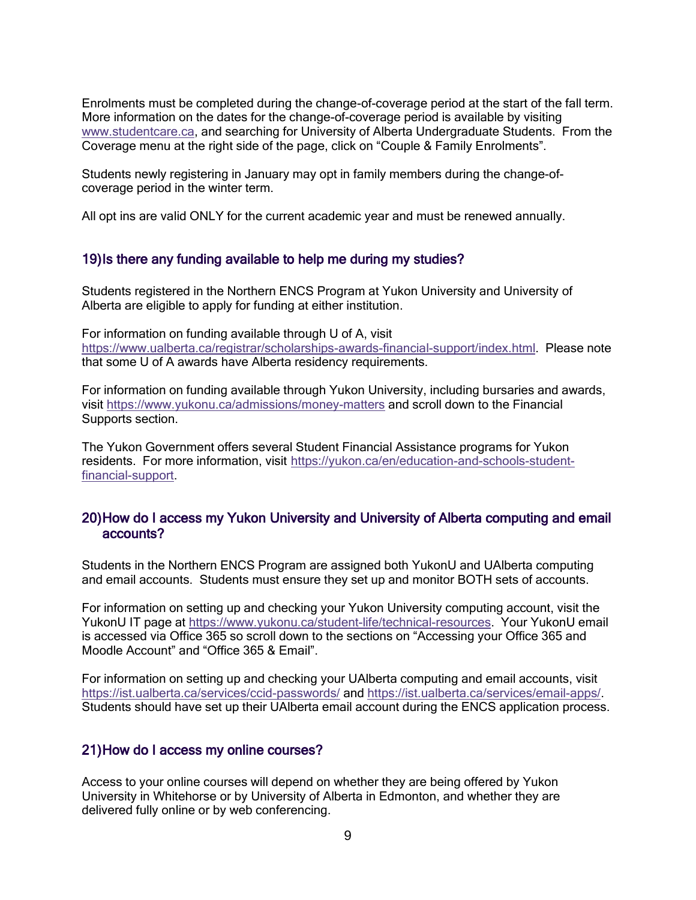Enrolments must be completed during the change-of-coverage period at the start of the fall term. More information on the dates for the change-of-coverage period is available by visiting [www.studentcare.ca,](http://www.studentcare.ca/) and searching for University of Alberta Undergraduate Students. From the Coverage menu at the right side of the page, click on "Couple & Family Enrolments".

Students newly registering in January may opt in family members during the change-ofcoverage period in the winter term.

All opt ins are valid ONLY for the current academic year and must be renewed annually.

### <span id="page-8-0"></span>19)Is there any funding available to help me during my studies?

Students registered in the Northern ENCS Program at Yukon University and University of Alberta are eligible to apply for funding at either institution.

For information on funding available through U of A, visit [https://www.ualberta.ca/registrar/scholarships-awards-financial-support/index.html.](https://www.ualberta.ca/registrar/scholarships-awards-financial-support/index.html) Please note that some U of A awards have Alberta residency requirements.

For information on funding available through Yukon University, including bursaries and awards, visit <https://www.yukonu.ca/admissions/money-matters> and scroll down to the Financial Supports section.

The Yukon Government offers several Student Financial Assistance programs for Yukon residents. For more information, visit [https://yukon.ca/en/education-and-schools-student](https://yukon.ca/en/education-and-schools-student-financial-support)[financial-support.](https://yukon.ca/en/education-and-schools-student-financial-support)

### <span id="page-8-1"></span>20)How do I access my Yukon University and University of Alberta computing and email accounts?

Students in the Northern ENCS Program are assigned both YukonU and UAlberta computing and email accounts. Students must ensure they set up and monitor BOTH sets of accounts.

For information on setting up and checking your Yukon University computing account, visit the YukonU IT page at [https://www.yukonu.ca/student-life/technical-resources.](https://www.yukonu.ca/student-life/technical-resources) Your YukonU email is accessed via Office 365 so scroll down to the sections on "Accessing your Office 365 and Moodle Account" and "Office 365 & Email".

For information on setting up and checking your UAlberta computing and email accounts, visit <https://ist.ualberta.ca/services/ccid-passwords/> and https://ist.ualberta.ca/services/email-apps/. Students should have set up their UAlberta email account during the ENCS application process.

### <span id="page-8-2"></span>21)How do I access my online courses?

Access to your online courses will depend on whether they are being offered by Yukon University in Whitehorse or by University of Alberta in Edmonton, and whether they are delivered fully online or by web conferencing.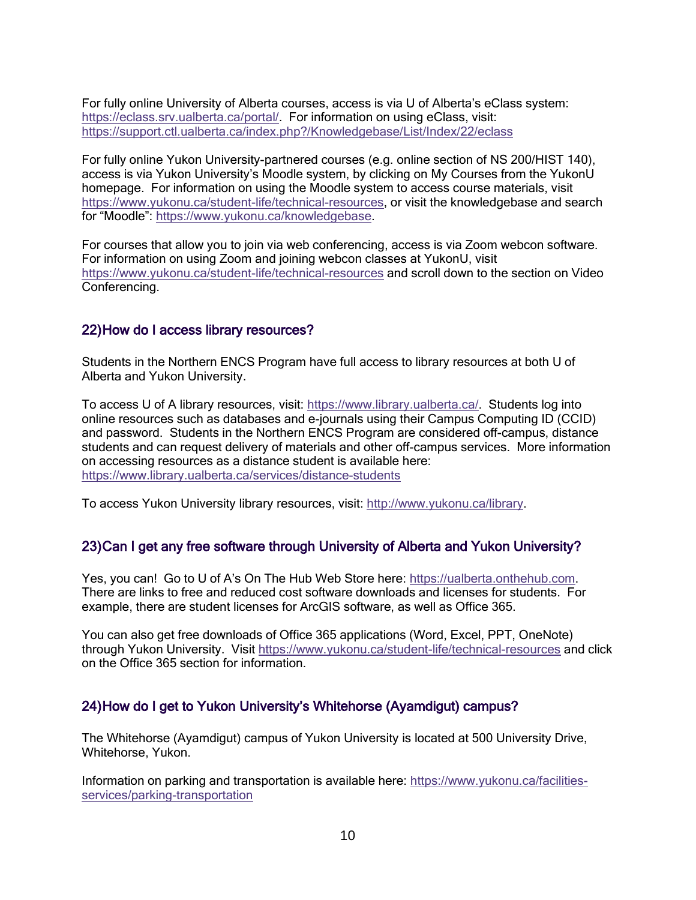For fully online University of Alberta courses, access is via U of Alberta's eClass system: [https://eclass.srv.ualberta.ca/portal/.](https://eclass.srv.ualberta.ca/portal/) For information on using eClass, visit: <https://support.ctl.ualberta.ca/index.php?/Knowledgebase/List/Index/22/eclass>

For fully online Yukon University-partnered courses (e.g. online section of NS 200/HIST 140), access is via Yukon University's Moodle system, by clicking on My Courses from the YukonU homepage. For information on using the Moodle system to access course materials, visit [https://www.yukonu.ca/student-life/technical-resources,](https://www.yukonu.ca/student-life/technical-resources) or visit the knowledgebase and search for "Moodle": [https://www.yukonu.ca/knowledgebase.](https://www.yukonu.ca/knowledgebase)

For courses that allow you to join via web conferencing, access is via Zoom webcon software. For information on using Zoom and joining webcon classes at YukonU, visit <https://www.yukonu.ca/student-life/technical-resources> and scroll down to the section on Video Conferencing.

### <span id="page-9-0"></span>22)How do I access library resources?

Students in the Northern ENCS Program have full access to library resources at both U of Alberta and Yukon University.

To access U of A library resources, visit: [https://www.library.ualberta.ca/.](https://www.library.ualberta.ca/) Students log into online resources such as databases and e-journals using their Campus Computing ID (CCID) and password. Students in the Northern ENCS Program are considered off-campus, distance students and can request delivery of materials and other off-campus services. More information on accessing resources as a distance student is available here: <https://www.library.ualberta.ca/services/distance-students>

To access Yukon University library resources, visit: [http://www.yukonu.ca/library.](http://www.yukonu.ca/library)

### <span id="page-9-1"></span>23)Can I get any free software through University of Alberta and Yukon University?

Yes, you can! Go to U of A's On The Hub Web Store here: [https://ualberta.onthehub.com.](https://ualberta.onthehub.com/) There are links to free and reduced cost software downloads and licenses for students. For example, there are student licenses for ArcGIS software, as well as Office 365.

You can also get free downloads of Office 365 applications (Word, Excel, PPT, OneNote) through Yukon University. Visit<https://www.yukonu.ca/student-life/technical-resources> and click on the Office 365 section for information.

### <span id="page-9-2"></span>24)How do I get to Yukon University's Whitehorse (Ayamdigut) campus?

The Whitehorse (Ayamdigut) campus of Yukon University is located at 500 University Drive, Whitehorse, Yukon.

Information on parking and transportation is available here: [https://www.yukonu.ca/facilities](https://www.yukonu.ca/facilities-services/parking-transportation)[services/parking-transportation](https://www.yukonu.ca/facilities-services/parking-transportation)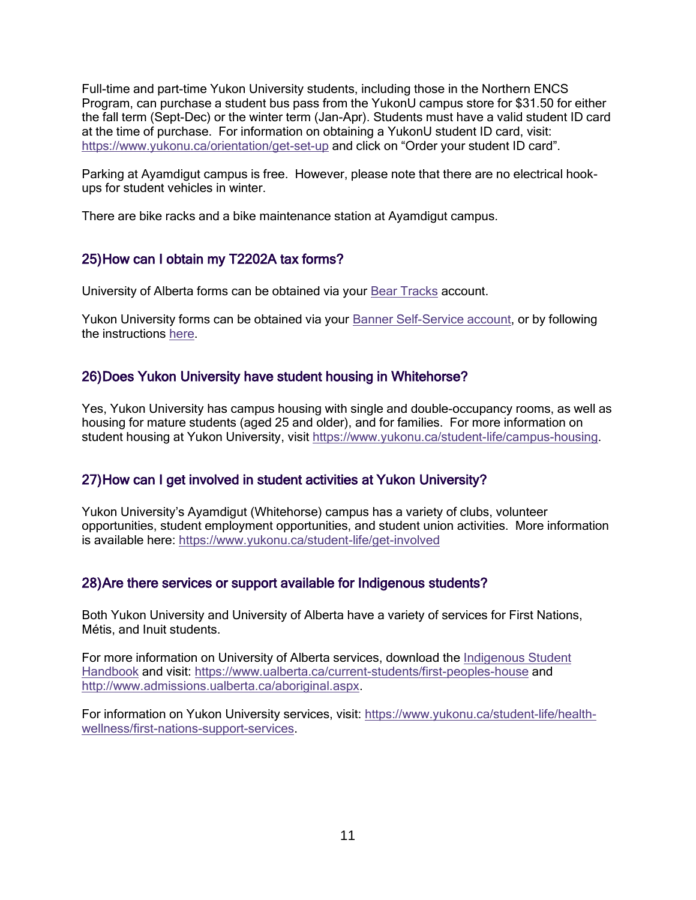Full-time and part-time Yukon University students, including those in the Northern ENCS Program, can purchase a student bus pass from the YukonU campus store for \$31.50 for either the fall term (Sept-Dec) or the winter term (Jan-Apr). Students must have a valid student ID card at the time of purchase. For information on obtaining a YukonU student ID card, visit: <https://www.yukonu.ca/orientation/get-set-up> and click on "Order your student ID card".

Parking at Ayamdigut campus is free. However, please note that there are no electrical hookups for student vehicles in winter.

There are bike racks and a bike maintenance station at Ayamdigut campus.

## <span id="page-10-0"></span>25)How can I obtain my T2202A tax forms?

University of Alberta forms can be obtained via your [Bear Tracks](https://www.beartracks.ualberta.ca/) account.

Yukon University forms can be obtained via your [Banner Self-Service account,](http://yukonu.ca/selfservice) or by following the instructions [here.](https://www.yukonu.ca/admissions/tuition-tax-receipts/t2202a-forms)

### <span id="page-10-1"></span>26)Does Yukon University have student housing in Whitehorse?

Yes, Yukon University has campus housing with single and double-occupancy rooms, as well as housing for mature students (aged 25 and older), and for families. For more information on student housing at Yukon University, visit [https://www.yukonu.ca/student-life/campus-housing.](https://www.yukonu.ca/student-life/campus-housing)

### <span id="page-10-2"></span>27)How can I get involved in student activities at Yukon University?

Yukon University's Ayamdigut (Whitehorse) campus has a variety of clubs, volunteer opportunities, student employment opportunities, and student union activities. More information is available here: <https://www.yukonu.ca/student-life/get-involved>

### <span id="page-10-3"></span>28)Are there services or support available for Indigenous students?

Both Yukon University and University of Alberta have a variety of services for First Nations, Métis, and Inuit students.

For more information on University of Alberta services, download the [Indigenous Student](https://www.ualberta.ca/admissions/undergraduate/resources/publications.html?)  [Handbook](https://www.ualberta.ca/admissions/undergraduate/resources/publications.html?) and visit:<https://www.ualberta.ca/current-students/first-peoples-house> and [http://www.admissions.ualberta.ca/aboriginal.aspx.](http://www.admissions.ualberta.ca/aboriginal.aspx)

For information on Yukon University services, visit: [https://www.yukonu.ca/student-life/health](https://www.yukonu.ca/student-life/health-wellness/first-nations-support-services)[wellness/first-nations-support-services.](https://www.yukonu.ca/student-life/health-wellness/first-nations-support-services)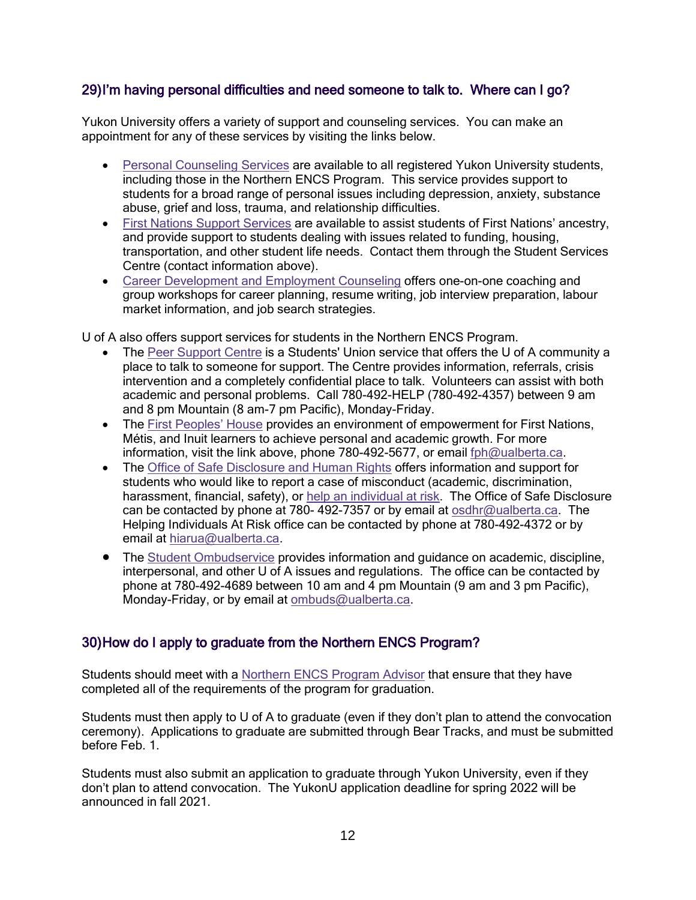# <span id="page-11-0"></span>29)I'm having personal difficulties and need someone to talk to. Where can I go?

Yukon University offers a variety of support and counseling services. You can make an appointment for any of these services by visiting the links below.

- [Personal Counseling Services](https://www.yukonu.ca/student-life/health-wellness/personal-counselling-services) are available to all registered Yukon University students, including those in the Northern ENCS Program. This service provides support to students for a broad range of personal issues including depression, anxiety, substance abuse, grief and loss, trauma, and relationship difficulties.
- [First Nations Support Services](https://www.yukonu.ca/student-life/health-wellness/first-nations-support-services) are available to assist students of First Nations' ancestry, and provide support to students dealing with issues related to funding, housing, transportation, and other student life needs. Contact them through the Student Services Centre (contact information above).
- [Career Development and Employment Counseling](https://www.yukonu.ca/student-life/learning-matters/academic-and-career-planning) offers one-on-one coaching and group workshops for career planning, resume writing, job interview preparation, labour market information, and job search strategies.

U of A also offers support services for students in the Northern ENCS Program.

- The [Peer Support Centre](http://www.su.ualberta.ca/services/psc/) is a Students' Union service that offers the U of A community a place to talk to someone for support. The Centre provides information, referrals, crisis intervention and a completely confidential place to talk. Volunteers can assist with both academic and personal problems. Call 780-492-HELP (780-492-4357) between 9 am and 8 pm Mountain (8 am-7 pm Pacific), Monday-Friday.
- The [First Peoples' House](https://www.ualberta.ca/current-students/first-peoples-house/index.html) provides an environment of empowerment for First Nations, Métis, and Inuit learners to achieve personal and academic growth. For more information, visit the link above, phone 780-492-5677, or email [fph@ualberta.ca.](mailto:fph@ualberta.ca)
- The [Office of Safe Disclosure and Human Rights](https://www.ualberta.ca/provost/portfolio/office-of-safe-disclosure-human-rights/index.html) offers information and support for students who would like to report a case of misconduct (academic, discrimination, harassment, financial, safety), or [help an individual at risk.](https://www.ualberta.ca/vice-president-finance/audit-and-analysis/about-audit-and-analysis/helping-individuals-at-risk-program) The Office of Safe Disclosure can be contacted by phone at 780- 492-7357 or by email at [osdhr@ualberta.ca.](mailto:osdhr@ualberta.ca) The Helping Individuals At Risk office can be contacted by phone at 780-492-4372 or by email at [hiarua@ualberta.ca.](mailto:hiarua@ualberta.ca)
- The [Student Ombudservice](https://www.ualberta.ca/current-students/ombuds/index.html) provides information and quidance on academic, discipline, interpersonal, and other U of A issues and regulations. The office can be contacted by phone at 780-492-4689 between 10 am and 4 pm Mountain (9 am and 3 pm Pacific), Monday-Friday, or by email at [ombuds@ualberta.ca.](mailto:ombuds@ualberta.ca)

# <span id="page-11-1"></span>30)How do I apply to graduate from the Northern ENCS Program?

Students should meet with a [Northern ENCS Program Advisor](#page-12-0) that ensure that they have completed all of the requirements of the program for graduation.

Students must then apply to U of A to graduate (even if they don't plan to attend the convocation ceremony). Applications to graduate are submitted through Bear Tracks, and must be submitted before Feb. 1.

Students must also submit an application to graduate through Yukon University, even if they don't plan to attend convocation. The YukonU application deadline for spring 2022 will be announced in fall 2021.